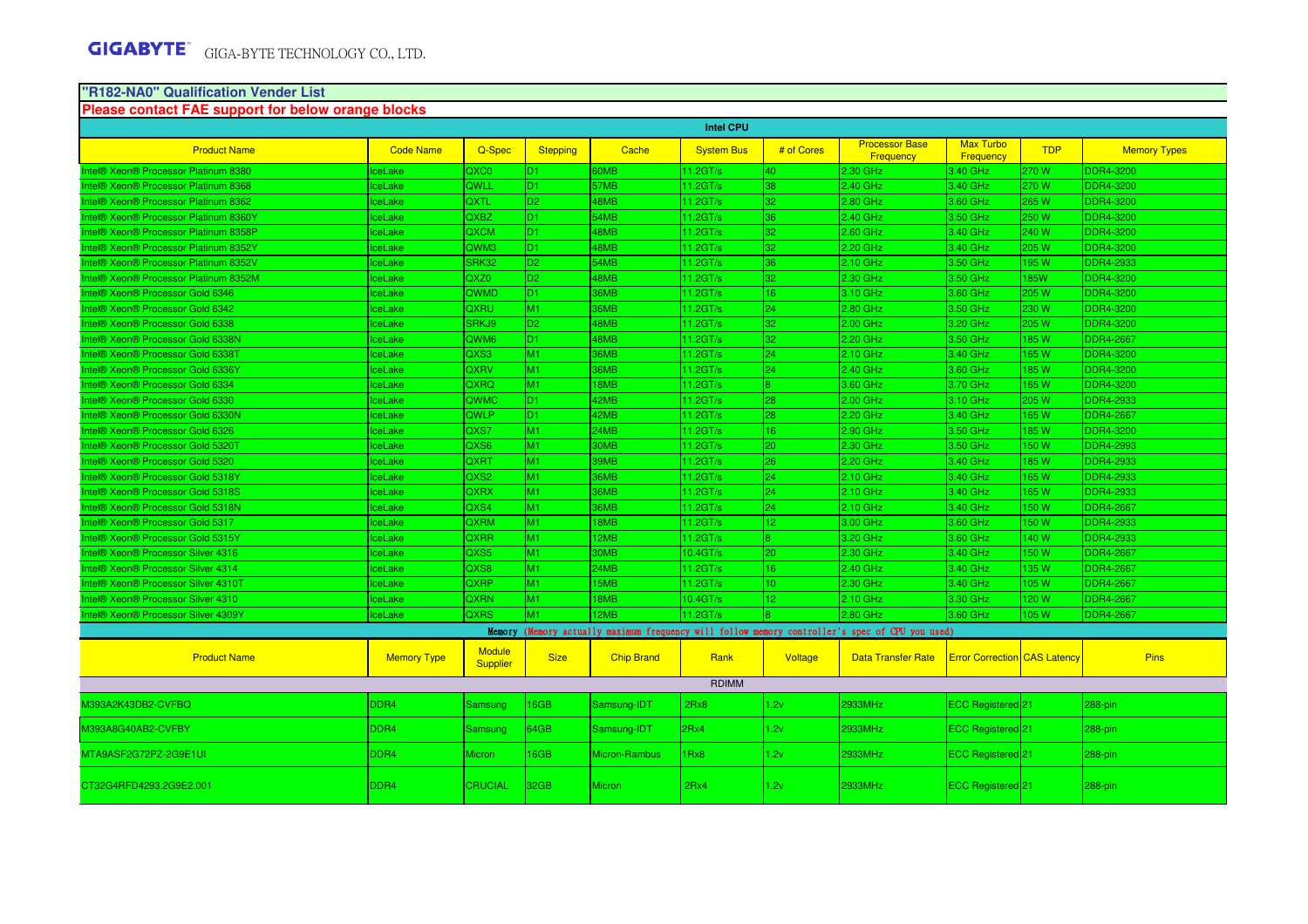# **"R182-NA0" Qualification Vender List Please contact FAE support for below orange blocks**

M39

 $MT$ 

| Prease contact PAE support for below orange blocks |                    |                           |                 |                   | <b>Intel CPU</b>  |                 |                                                                                                 |                                     |             |                     |
|----------------------------------------------------|--------------------|---------------------------|-----------------|-------------------|-------------------|-----------------|-------------------------------------------------------------------------------------------------|-------------------------------------|-------------|---------------------|
| <b>Product Name</b>                                | <b>Code Name</b>   | Q-Spec                    | <b>Stepping</b> | Cache             | <b>System Bus</b> | # of Cores      | <b>Processor Base</b><br>Frequency                                                              | Max Turbo<br>Frequency              | <b>TDP</b>  | <b>Memory Types</b> |
| Intel® Xeon® Processor Platinum 8380               | <b>IceLake</b>     | QXC0                      | D <sub>1</sub>  | 60MB              | 11.2GT/s          | 40              | 2.30 GHz                                                                                        | 3.40 GHz                            | 270W        | <b>DDR4-3200</b>    |
| Intel® Xeon® Processor Platinum 8368               | <b>IceLake</b>     | QWLL                      | D <sub>1</sub>  | 57MB              | 11.2GT/s          | 38              | 2.40 GHz                                                                                        | 3.40 GHz                            | 270 W       | <b>DDR4-3200</b>    |
| Intel® Xeon® Processor Platinum 8362               | <b>IceLake</b>     | QXTL                      | D <sub>2</sub>  | 48MB              | 11.2GT/s          | 32              | 2.80 GHz                                                                                        | 3.60 GHz                            | 265 W       | <b>DDR4-3200</b>    |
| Intel® Xeon® Processor Platinum 8360Y              | <b>IceLake</b>     | QXBZ                      | ID1             | 54MB              | 11.2GT/s          | 36              | 2.40 GHz                                                                                        | 3.50 GHz                            | 250 W       | <b>DDR4-3200</b>    |
| Intel® Xeon® Processor Platinum 8358P              | <b>IceLake</b>     | QXCM                      | ID1             | 48MB              | 11.2GT/s          | 32              | 2.60 GHz                                                                                        | 3.40 GHz                            | 240 W       | <b>DDR4-3200</b>    |
| Intel® Xeon® Processor Platinum 8352Y              | <b>IceLake</b>     | QWM3                      | D <sub>1</sub>  | 48MB              | 11.2GT/s          | 32              | $2.20$ GHz                                                                                      | 3.40 GHz                            | 205 W       | <b>DDR4-3200</b>    |
| Intel® Xeon® Processor Platinum 8352V              | <b>IceLake</b>     | SRK32                     | D <sub>2</sub>  | 54MB              | 11.2GT/s          | 36 <sub>1</sub> | 2.10 GHz                                                                                        | 3.50 GHz                            | 195 W       | DDR4-2933           |
| Intel® Xeon® Processor Platinum 8352M              | IceLake            | QXZ0                      | D <sub>2</sub>  | 48MB              | 11.2GT/s          | 32              | 2.30 GHz                                                                                        | 3.50 GHz                            | <b>185W</b> | <b>DDR4-3200</b>    |
| Intel® Xeon® Processor Gold 6346                   | <b>IceLake</b>     | <b>QWMD</b>               | ID <sub>1</sub> | <b>36MB</b>       | 11.2GT/s          | 16              | 3.10 GHz                                                                                        | 3.60 GHz                            | 205 W       | <b>DDR4-3200</b>    |
| Intel® Xeon® Processor Gold 6342                   | IceLake            | QXRU                      | M <sub>1</sub>  | <b>36MB</b>       | 11.2GT/s          | 24              | 2.80 GHz                                                                                        | 3.50 GHz                            | 230 W       | <b>DDR4-3200</b>    |
| Intel® Xeon® Processor Gold 6338                   | IceLake            | SRKJ9                     | D <sub>2</sub>  | 48MB              | 11.2GT/s          | $ 32\rangle$    | 2.00 GHz                                                                                        | 3.20 GHz                            | 205 W       | <b>DDR4-3200</b>    |
| Intel® Xeon® Processor Gold 6338N                  | <b>IceLake</b>     | QWM6                      | D <sub>1</sub>  | 48MB              | 11.2GT/s          | $ 32\rangle$    | 2.20 GHz                                                                                        | 3.50 GHz                            | 185W        | <b>DDR4-2667</b>    |
| Intel® Xeon® Processor Gold 6338T                  | IceLake            | QXS3                      | M1              | <b>36MB</b>       | 11.2GT/s          | 24              | 2.10 GHz                                                                                        | 3.40 GHz                            | 165 W       | <b>DDR4-3200</b>    |
| Intel® Xeon® Processor Gold 6336Y                  | <b>IceLake</b>     | QXRV                      | M1              | 36MB              | 11.2GT/s          | 24              | 2.40 GHz                                                                                        | 3.60 GHz                            | 185 W       | <b>DDR4-3200</b>    |
| Intel® Xeon® Processor Gold 6334                   | <b>IceLake</b>     | QXRQ                      | M1              | 18MB              | 11.2GT/s          |                 | 3.60 GHz                                                                                        | 3.70 GHz                            | 165 W       | <b>DDR4-3200</b>    |
| Intel® Xeon® Processor Gold 6330                   | IceLake            | QWMC                      | ID <sub>1</sub> | 42MB              | 11.2GT/s          | 28              | 2.00 GHz                                                                                        | 3.10 GHz                            | 205 W       | <b>DDR4-2933</b>    |
| Intel® Xeon® Processor Gold 6330N                  | <b>IceLake</b>     | QWLP                      | D <sub>1</sub>  | 42MB              | 11.2GT/s          | 28              | 2.20 GHz                                                                                        | 3.40 GHz                            | 165 W       | <b>DDR4-2667</b>    |
| Intel® Xeon® Processor Gold 6326                   | <b>IceLake</b>     | QXS7                      | M <sub>1</sub>  | 24MB              | 11.2GT/s          | 16              | 2.90 GHz                                                                                        | 3.50 GHz                            | 185 W       | <b>DDR4-3200</b>    |
| Intel® Xeon® Processor Gold 5320T                  | <b>IceLake</b>     | QXS6                      | M <sub>1</sub>  | 30MB              | $11.2$ GT/s       | $ 20\rangle$    | 2.30 GHz                                                                                        | 3.50 GHz                            | 150 W       | <b>DDR4-2993</b>    |
| Intel® Xeon® Processor Gold 5320                   | <b>IceLake</b>     | QXRT                      | M <sub>1</sub>  | 39MB              | 11.2GT/s          | $ 26\rangle$    | 2.20 GHz                                                                                        | 3.40 GHz                            | 185W        | <b>DDR4-2933</b>    |
| Intel® Xeon® Processor Gold 5318Y                  | IceLake            | QXS2                      | M <sub>1</sub>  | 36MB              | 11.2GT/s          | $ 24\rangle$    | 2.10 GHz                                                                                        | 3.40 GHz                            | 165 W       | <b>DDR4-2933</b>    |
| Intel® Xeon® Processor Gold 5318S                  | <b>IceLake</b>     | QXRX                      | M1              | <b>36MB</b>       | 11.2GT/s          | 24              | 2.10 GHz                                                                                        | 3.40 GHz                            | 165 W       | <b>DDR4-2933</b>    |
| ntel® Xeon® Processor Gold 5318N                   | <b>IceLake</b>     | QXS4                      | M <sub>1</sub>  | <b>36MB</b>       | 11.2GT/s          | 24              | 2.10 GHz                                                                                        | 3.40 GHz                            | 150 W       | <b>DDR4-2667</b>    |
| Intel® Xeon® Processor Gold 5317                   | <b>IceLake</b>     | <b>QXRM</b>               | M <sub>1</sub>  | 18MB              | 11.2GT/s          | 12 <sup>2</sup> | 3.00 GHz                                                                                        | 3.60 GHz                            | 150 W       | <b>DDR4-2933</b>    |
| Intel® Xeon® Processor Gold 5315Y                  | <b>IceLake</b>     | QXRR                      | M1              | 12MB              | 11.2GT/s          |                 | 3.20 GHz                                                                                        | 3.60 GHz                            | 140 W       | <b>DDR4-2933</b>    |
| Intel® Xeon® Processor Silver 4316                 | IceLake            | QXS5                      | M <sub>1</sub>  | 30MB              | 10.4GT/s          | 20              | 2.30 GHz                                                                                        | 3.40 GHz                            | 150 W       | <b>DDR4-2667</b>    |
| Intel® Xeon® Processor Silver 4314                 | <b>IceLake</b>     | QXS8                      | M <sub>1</sub>  | 24MB              | 11.2GT/s          | 16              | 2.40 GHz                                                                                        | 3.40 GHz                            | 135W        | <b>DDR4-2667</b>    |
| Intel® Xeon® Processor Silver 4310T                | IceLake            | <b>QXRP</b>               | M <sub>1</sub>  | 15MB              | 11.2GT/s          | 10              | 2.30 GHz                                                                                        | 3.40 GHz                            | 105 W       | <b>DDR4-2667</b>    |
| Intel® Xeon® Processor Silver 4310                 | IceLake            | QXRN                      | M <sub>1</sub>  | 18MB              | 10.4GT/s          | l12 -           | 2.10 GHz                                                                                        | 3.30 GHz                            | 120 W       | <b>DDR4-2667</b>    |
| Intel® Xeon® Processor Silver 4309Y                | <b>IceLake</b>     | <b>OXRS</b>               | M1              | 12MB              | 11.2GT/s          |                 | 2.80 GHz                                                                                        | 3.60 GHz                            | 105W        | <b>DDR4-2667</b>    |
|                                                    |                    |                           |                 |                   |                   |                 | Memory (Memory actually maximum frequency will follow memory controller's spec of CPU you used) |                                     |             |                     |
| <b>Product Name</b>                                | <b>Memory Type</b> | <b>Module</b><br>Supplier | <b>Size</b>     | <b>Chip Brand</b> | Rank              | Voltage         | <b>Data Transfer Rate</b>                                                                       | <b>Error Correction</b> CAS Latency |             | <b>Pins</b>         |
|                                                    |                    |                           |                 |                   | <b>RDIMM</b>      |                 |                                                                                                 |                                     |             |                     |
| 4393A2K43DB2-CVFBQ                                 | DDR <sub>4</sub>   | Samsung                   | 16GB            | Samsung-IDT       | 2Rx8              | 1.2v            | 2933MHz                                                                                         | ECC Registered <sup>21</sup>        |             | 288-pin             |

| M393A2K43DB2-CVFBQ      | DDR4   | Samsung         | 16GB | Samsung-IDT   | 2Rx8           | 1.2v | 2933MHz | <b>ECC Registered</b> 21 | $ 288-pin$ |
|-------------------------|--------|-----------------|------|---------------|----------------|------|---------|--------------------------|------------|
| M393A8G40AB2-CVFBY      | DDR4 i | Samsung         | 64GB | Samsung-IDT   | $ 2Rx4\rangle$ | 1.2v | 2933MHz | <b>ECC Registered</b> 21 | $ 288-pin$ |
| MTA9ASF2G72PZ-2G9E1UI   | DDR4   | <b>Micron</b>   | 16GB | Micron-Rambus | 11Rx8          | 1.2v | 2933MHz | <b>ECC Registered</b> 21 | $288-pin$  |
| CT32G4RFD4293.2G9E2.001 | DDR4   | <b>ICRUCIAL</b> | 32GB | Micron        | 2Rx4           | 1.2v | 2933MHz | <b>ECC Registered</b> 21 | $288-pin$  |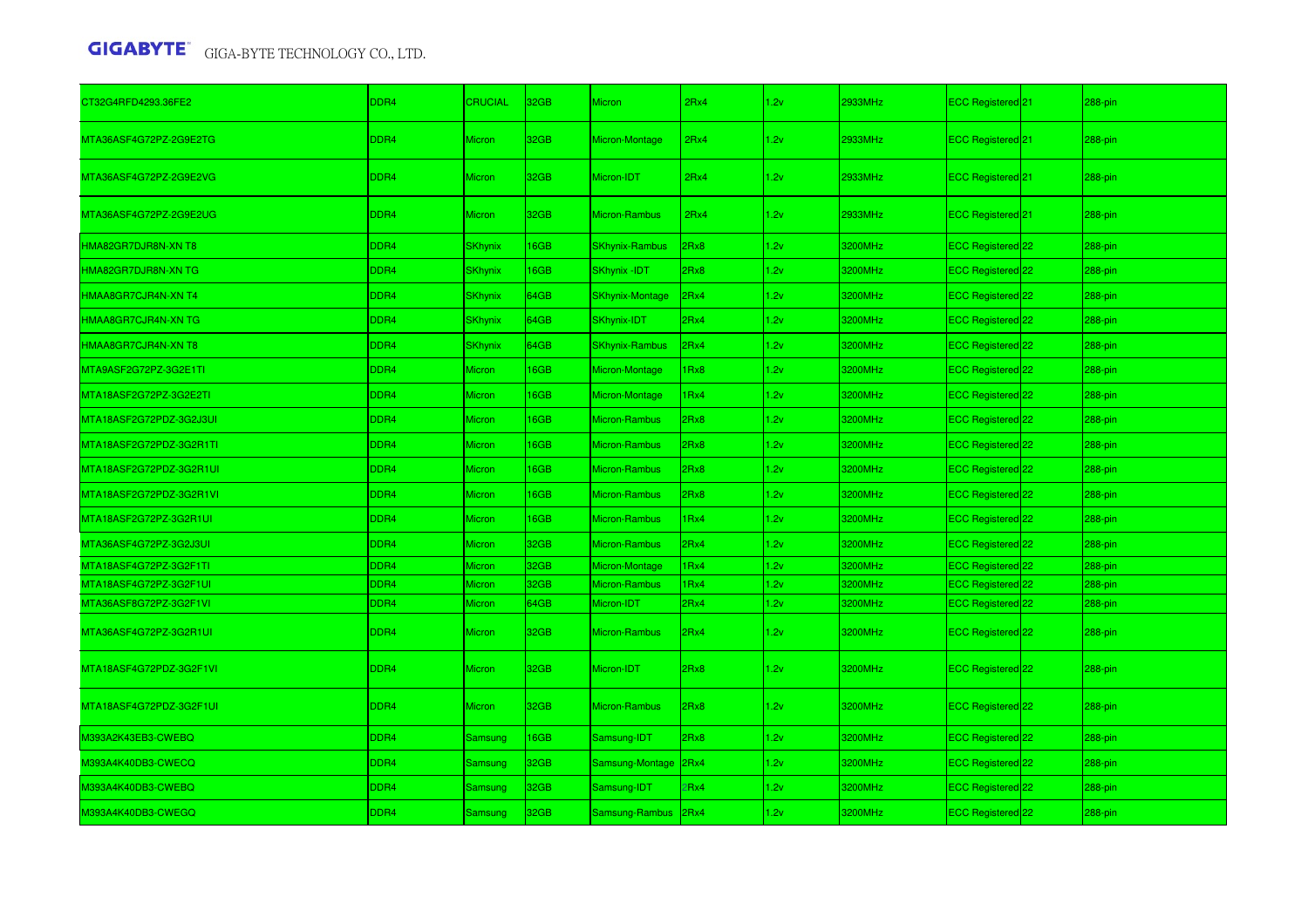| CT32G4RFD4293.36FE2     | DDR4             | <b>CRUCIAL</b> | 32GB        | <b>Micron</b>          | 2Rx4 | 1.2v | 2933MHz | ECC Registered <sup>21</sup> | 288-pin |
|-------------------------|------------------|----------------|-------------|------------------------|------|------|---------|------------------------------|---------|
| MTA36ASF4G72PZ-2G9E2TG  | DDR4             | <b>Micron</b>  | 32GB        | Micron-Montage         | 2Rx4 | 1.2v | 2933MHz | ECC Registered <sup>21</sup> | 288-pin |
| MTA36ASF4G72PZ-2G9E2VG  | DDR4             | <b>Micron</b>  | 32GB        | Micron-IDT             | 2Rx4 | 1.2v | 2933MHz | ECC Registered 21            | 288-pin |
| MTA36ASF4G72PZ-2G9E2UG  | DDR <sub>4</sub> | <b>Micron</b>  | 32GB        | Micron-Rambus          | 2Rx4 | 1.2v | 2933MHz | ECC Registered <sup>21</sup> | 288-pin |
| HMA82GR7DJR8N-XN T8     | DDR4             | <b>SKhynix</b> | <b>I6GB</b> | <b>SKhynix-Rambus</b>  | 2Rx8 | 1.2v | 3200MHz | ECC Registered 22            | 288-pin |
| HMA82GR7DJR8N-XN TG     | DDR4             | <b>SKhynix</b> | <b>I6GB</b> | <b>SKhynix -IDT</b>    | 2Rx8 | 1.2v | 3200MHz | ECC Registered 22            | 288-pin |
| HMAA8GR7CJR4N-XN T4     | DDR4             | <b>SKhynix</b> | 64GB        | <b>SKhynix-Montage</b> | 2Rx4 | 1.2v | 3200MHz | ECC Registered 22            | 288-pin |
| HMAA8GR7CJR4N-XN TG     | DDR4             | <b>SKhynix</b> | 64GB        | SKhynix-IDT            | 2Rx4 | 1.2v | 3200MHz | ECC Registered <sup>22</sup> | 288-pin |
| HMAA8GR7CJR4N-XN T8     | DDR4             | <b>SKhynix</b> | 64GB        | <b>SKhynix-Rambus</b>  | 2Rx4 | 1.2v | 3200MHz | ECC Registered <sup>22</sup> | 288-pin |
| MTA9ASF2G72PZ-3G2E1TI   | DDR4             | <b>Micron</b>  | <b>I6GB</b> | Micron-Montage         | 1Rx8 | 1.2v | 3200MHz | ECC Registered 22            | 288-pin |
| MTA18ASF2G72PZ-3G2E2TI  | DDR4             | <b>Micron</b>  | <b>I6GB</b> | Micron-Montage         | 1Rx4 | 1.2v | 3200MHz | ECC Registered 22            | 288-pin |
| MTA18ASF2G72PDZ-3G2J3UI | DDR4             | <b>Micron</b>  | <b>I6GB</b> | Micron-Rambus          | 2Rx8 | 1.2v | 3200MHz | ECC Registered <sup>22</sup> | 288-pin |
| MTA18ASF2G72PDZ-3G2R1TI | DDR4             | <b>Micron</b>  | <b>I6GB</b> | Micron-Rambus          | 2Rx8 | 1.2v | 3200MHz | ECC Registered 22            | 288-pin |
| MTA18ASF2G72PDZ-3G2R1UI | DDR4             | <b>Micron</b>  | <b>I6GB</b> | Micron-Rambus          | 2Rx8 | 1.2v | 3200MHz | ECC Registered 22            | 288-pin |
| MTA18ASF2G72PDZ-3G2R1VI | DDR4             | <b>Micron</b>  | <b>I6GB</b> | Micron-Rambus          | 2Rx8 | 1.2v | 3200MHz | ECC Registered 22            | 288-pin |
| MTA18ASF2G72PZ-3G2R1UI  | DDR4             | <b>Micron</b>  | <b>I6GB</b> | Micron-Rambus          | 1Rx4 | 1.2v | 3200MHz | ECC Registered <sup>22</sup> | 288-pin |
| MTA36ASF4G72PZ-3G2J3UI  | DDR4             | <b>Micron</b>  | 32GB        | Micron-Rambus          | 2Rx4 | 1.2v | 3200MHz | ECC Registered 22            | 288-pin |
| MTA18ASF4G72PZ-3G2F1TI  | DDR4             | <b>Micron</b>  | 32GB        | Micron-Montage         | 1Rx4 | 1.2v | 3200MHz | ECC Registered 22            | 288-pin |
| MTA18ASF4G72PZ-3G2F1UI  | DDR <sub>4</sub> | <b>Micron</b>  | 32GB        | Micron-Rambus          | 1Rx4 | 1.2v | 3200MHz | ECC Registered 22            | 288-pin |
| MTA36ASF8G72PZ-3G2F1VI  | DDR4             | Micron         | 64GB        | Micron-IDT             | 2Rx4 | 1.2v | 3200MHz | ECC Registered 22            | 288-pin |
| MTA36ASF4G72PZ-3G2R1UI  | DDR4             | <b>Micron</b>  | 32GB        | Micron-Rambus          | 2Rx4 | 1.2v | 3200MHz | ECC Registered 22            | 288-pin |
| MTA18ASF4G72PDZ-3G2F1VI | DDR4             | <b>Micron</b>  | 32GB        | Micron-IDT             | 2Rx8 | 1.2v | 3200MHz | ECC Registered <sup>22</sup> | 288-pin |
| MTA18ASF4G72PDZ-3G2F1UI | DDR <sub>4</sub> | <b>Micron</b>  | 32GB        | Micron-Rambus          | 2Rx8 | 1.2v | 3200MHz | <b>ECC Registered</b> 22     | 288-pin |
| M393A2K43EB3-CWEBQ      | DDR4             | Samsung        | <b>I6GB</b> | Samsung-IDT            | 2Rx8 | 1.2v | 3200MHz | ECC Registered 22            | 288-pin |
| M393A4K40DB3-CWECQ      | DDR4             | Samsung        | 32GB        | Samsung-Montage 2Rx4   |      | 1.2v | 3200MHz | ECC Registered 22            | 288-pin |
| M393A4K40DB3-CWEBQ      | DDR4             | Samsung        | 32GB        | Samsung-IDT            | 2Rx4 | 1.2v | 3200MHz | ECC Registered 22            | 288-pin |
| M393A4K40DB3-CWEGQ      | DDR4             | Samsung        | 32GB        | Samsung-Rambus 2Rx4    |      | 1.2v | 3200MHz | ECC Registered 22            | 288-pin |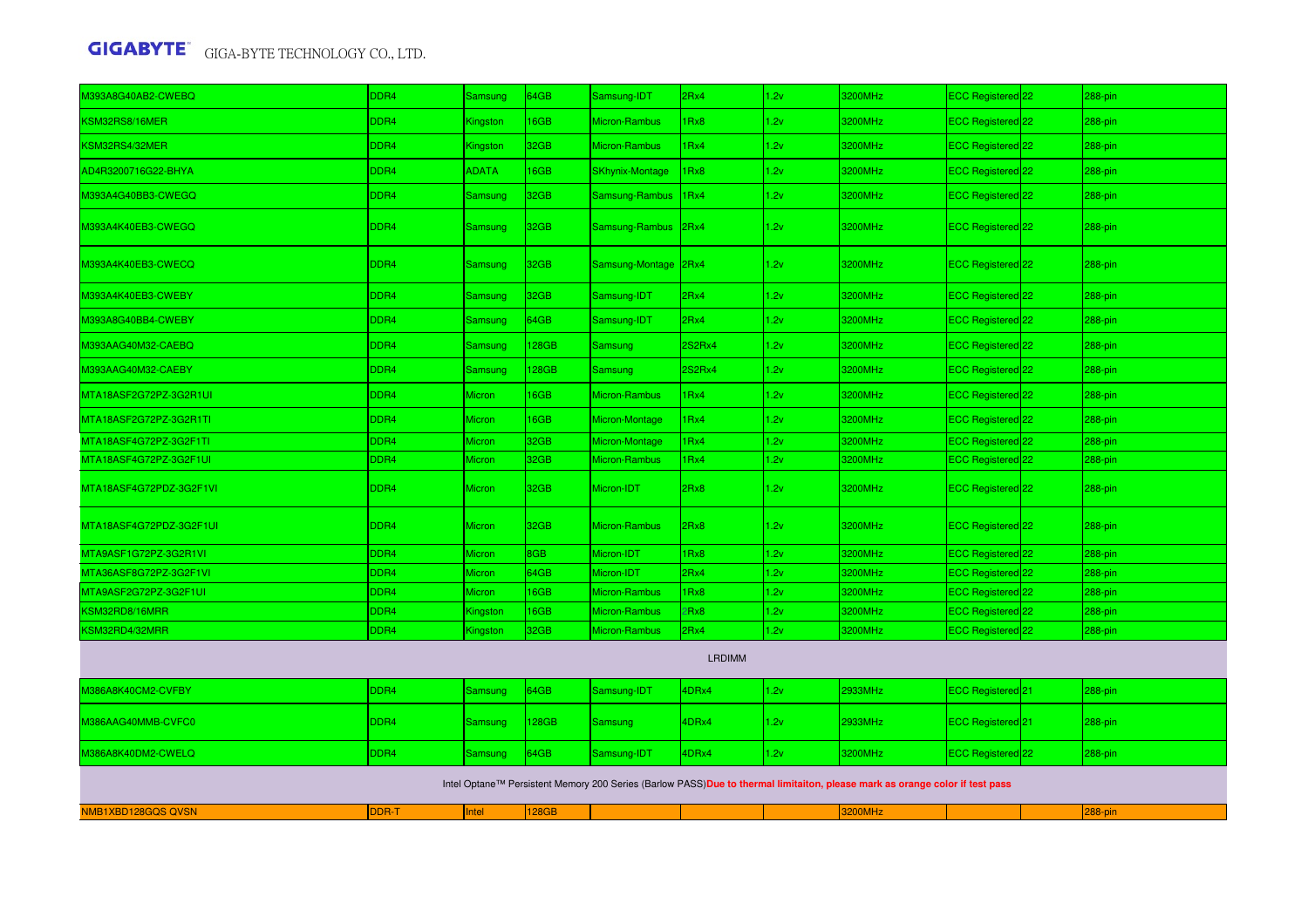| 1393A8G40AB2-CWEBQ                        | DDR4             | Samsung        | 34GB        | Samsung-IDT            | 2Rx4             | 1.2v | 3200MHz                                                                                                                     | ECC Registered 22            | 288-pin     |
|-------------------------------------------|------------------|----------------|-------------|------------------------|------------------|------|-----------------------------------------------------------------------------------------------------------------------------|------------------------------|-------------|
| KSM32RS8/16MER                            | DDR4             | Kingston       | 6GB         | Micron-Rambus          | IRx8             | 1.2v | 3200MHz                                                                                                                     | ECC Registered 22            | $288$ -pin  |
| KSM32RS4/32MER                            | DDR4             | Kingston       | 32GB        | Micron-Rambus          | IRx4             | 1.2v | 3200MHz                                                                                                                     | ECC Registered 22            | 288-pin     |
| AD4R3200716G22-BHYA                       | DDR4             | <b>ADATA</b>   | 6GB         | <b>SKhynix-Montage</b> | 1Rx8             | 1.2v | 3200MHz                                                                                                                     | ECC Registered 22            | 288-pin     |
| 0393A4G40BB3-CWEGQ                        | DDR4             | Samsung        | 32GB        | Samsung-Rambus         | 1Rx4             | 1.2v | 3200MHz                                                                                                                     | ECC Registered 22            | 288-pin     |
| M393A4K40EB3-CWEGQ                        | DDR4             | Samsung        | 32GB        | Samsung-Rambus         | 2Rx4             | 1.2v | 3200MHz                                                                                                                     | <b>ECC Registered</b> 22     | $288 - pin$ |
| M393A4K40EB3-CWECQ                        | DDR <sub>4</sub> | Samsung        | 32GB        | Samsung-Montage 2Rx4   |                  | 1.2v | 3200MHz                                                                                                                     | ECC Registered 22            | 288-pin     |
| M393A4K40EB3-CWEBY                        | DDR4             | Samsung        | 32GB        | Samsung-IDT            | 2Rx4             | 1.2v | 3200MHz                                                                                                                     | ECC Registered 22            | 288-pin     |
| M393A8G40BB4-CWEBY                        | DDR4             | Samsung        | 64GB        | Samsung-IDT            | 2Rx4             | 1.2v | 3200MHz                                                                                                                     | ECC Registered <sup>22</sup> | 288-pin     |
| M393AAG40M32-CAEBQ                        | DDR4             | Samsung        | <b>28GB</b> | Samsung                | 2S2Rx4           | 1.2v | 3200MHz                                                                                                                     | ECC Registered 22            | 288-pin     |
| M393AAG40M32-CAEBY                        | DDR4             | Samsung        | <b>28GB</b> | <b>Samsung</b>         | 2S2Rx4           | 1.2v | 3200MHz                                                                                                                     | ECC Registered 22            | 288-pin     |
| MTA18ASF2G72PZ-3G2R1UI                    | DDR4             | <b>Micron</b>  | 6GB         | Micron-Rambus          | 1Rx4             | 1.2v | 3200MHz                                                                                                                     | ECC Registered 22            | 288-pin     |
| MTA18ASF2G72PZ-3G2R1TI                    | DDR4             | <b>Micron</b>  | 16GB        | Micron-Montage         | 1Rx4             | 1.2v | 3200MHz                                                                                                                     | ECC Registered 22            | 288-pin     |
| MTA18ASF4G72PZ-3G2F1TI                    | DDR <sub>4</sub> | Micron         | 32GB        | Micron-Montage         | 1 <sub>Rx4</sub> | 1.2v | 3200MHz                                                                                                                     | ECC Registered 22            | 288-pin     |
| MTA18ASF4G72PZ-3G2F1UI                    | DDR4             | Micron         | 32GB        | Micron-Rambus          | IRx4             | 1.2v | 3200MHz                                                                                                                     | ECC Registered 22            | 288-pin     |
| MTA18ASF4G72PDZ-3G2F1VI                   | DDR4             | <b>Micron</b>  | 32GB        | Micron-IDT             | 2Rx8             | 1.2v | 3200MHz                                                                                                                     | <b>ECC Registered</b> 22     | $288-pin$   |
| MTA18ASF4G72PDZ-3G2F1UI                   | DDR4             | <b>Micron</b>  | 32GB        | Micron-Rambus          | 2Rx8             | 1.2v | 3200MHz                                                                                                                     | ECC Registered 22            | 288-pin     |
| MTA9ASF1G72PZ-3G2R1VI                     | DDR4             | Micron         | 8GB         | Micron-IDT             | 1Rx8             | 1.2v | 3200MHz                                                                                                                     | ECC Registered 22            | 288-pin     |
| MTA36ASF8G72PZ-3G2F1VI                    | DDR <sub>4</sub> | Micron         | 64GB        | Micron-IDT             | 2Rx4             | 1.2v | 3200MHz                                                                                                                     | <b>ECC Registered</b> 22     | $288-pin$   |
| MTA9ASF2G72PZ-3G2F1UI                     | DDR <sub>4</sub> | Micron         | 16GB        | Micron-Rambus          | 1Rx8             | 1.2v | 3200MHz                                                                                                                     | ECC Registered <sup>22</sup> | 288-pin     |
| <b><sm32rd8 16mrr<="" b=""></sm32rd8></b> | DDR4             | Kingston       | 16GB        | Micron-Rambus          | 2Rx8             | 1.2v | 3200MHz                                                                                                                     | ECC Registered <sup>22</sup> | 288-pin     |
| KSM32RD4/32MRR                            | DDR4             | Kingston       | 32GB        | Micron-Rambus          | 2Rx4             | 1.2v | 3200MHz                                                                                                                     | ECC Registered <sup>22</sup> | 288-pin     |
|                                           |                  |                |             |                        | <b>LRDIMM</b>    |      |                                                                                                                             |                              |             |
| 0386A8K40CM2-CVFBY                        | DDR4             | <b>Samsung</b> | 64GB        | Samsung-IDT            | 4DRx4            | 1.2v | 2933MHz                                                                                                                     | ECC Registered 21            | 288-pin     |
| M386AAG40MMB-CVFC0                        | DDR <sub>4</sub> | Samsung        | 128GB       | <b>Samsung</b>         | 4DRx4            | 1.2v | 2933MHz                                                                                                                     | ECC Registered <sup>21</sup> | 288-pin     |
| 0386A8K40DM2-CWELQ                        | DDR4             | Samsung        | 64GB        | Samsung-IDT            | 4DRx4            | 1.2v | 3200MHz                                                                                                                     | ECC Registered 22            | 288-pin     |
|                                           |                  |                |             |                        |                  |      | Intel Optane™ Persistent Memory 200 Series (Barlow PASS)Due to thermal limitaiton, please mark as orange color if test pass |                              |             |
| NMB1XBD128GQS QVSN                        | DDR-T            | Intel          | 128GB       |                        |                  |      | 3200MHz                                                                                                                     |                              | 288-pin     |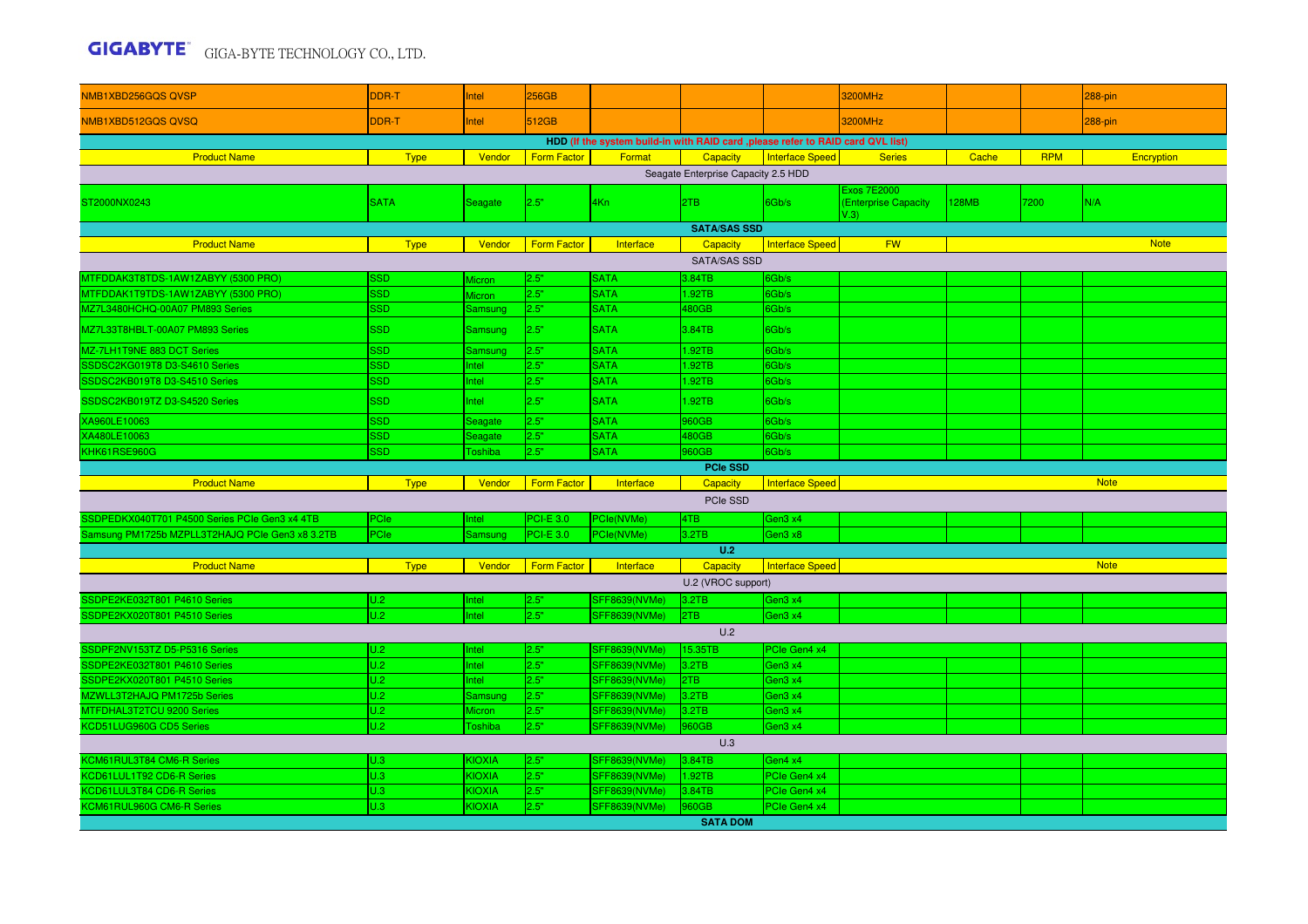| NMB1XBD256GQSQVSP                               | DDR-T       | Intel                    | 256GB              |                                                                                  |                                     |                        | 3200MHz                                    |              |            | 288-pin     |
|-------------------------------------------------|-------------|--------------------------|--------------------|----------------------------------------------------------------------------------|-------------------------------------|------------------------|--------------------------------------------|--------------|------------|-------------|
| NMB1XBD512GQS QVSQ                              | DDR-T       | Intel                    | 512GB              |                                                                                  |                                     |                        | 3200MHz                                    |              |            | $288$ -pin  |
|                                                 |             |                          |                    | HDD (If the system build-in with RAID card , please refer to RAID card QVL list) |                                     |                        |                                            |              |            |             |
| <b>Product Name</b>                             | <b>Type</b> | Vendor                   | <b>Form Factor</b> | Format                                                                           | Capacity                            | <b>Interface Speed</b> | <b>Series</b>                              | Cache        | <b>RPM</b> | Encryption  |
|                                                 |             |                          |                    |                                                                                  | Seagate Enterprise Capacity 2.5 HDD |                        |                                            |              |            |             |
| ST2000NX0243                                    | <b>SATA</b> | Seagate                  | 2.5"               | 4Kn                                                                              | 2TB                                 | 6Gb/s                  | <b>Exos 7E2000</b><br>(Enterprise Capacity | <b>128MB</b> | 7200       | N/A         |
|                                                 |             |                          |                    |                                                                                  | <b>SATA/SAS SSD</b>                 |                        | V.3)                                       |              |            |             |
| <b>Product Name</b>                             | <b>Type</b> | Vendor                   | <b>Form Factor</b> | Interface                                                                        | Capacity                            | <b>Interface Speed</b> | <b>FW</b>                                  |              |            | <b>Note</b> |
|                                                 |             |                          |                    |                                                                                  | <b>SATA/SAS SSD</b>                 |                        |                                            |              |            |             |
| MTFDDAK3T8TDS-1AW1ZABYY (5300 PRO)              | SSD         |                          | 2.5"               | <b>SATA</b>                                                                      | 3.84TB                              | 6Gb/s                  |                                            |              |            |             |
| MTFDDAK1T9TDS-1AW1ZABYY (5300 PRO)              | <b>SSD</b>  | Micron                   | 2.5"               | <b>SATA</b>                                                                      | 1.92TB                              | 6Gb/s                  |                                            |              |            |             |
| MZ7L3480HCHQ-00A07 PM893 Series                 | <b>SSD</b>  | Micron<br><b>Samsung</b> | 2.5"               | <b>SATA</b>                                                                      | 480GB                               | 6Gb/s                  |                                            |              |            |             |
| MZ7L33T8HBLT-00A07 PM893 Series                 | <b>SSD</b>  | Samsung                  | 2.5"               | <b>SATA</b>                                                                      | 3.84TB                              | 6Gb/s                  |                                            |              |            |             |
| MZ-7LH1T9NE 883 DCT Series                      | <b>SSD</b>  |                          | 2.5"               | <b>SATA</b>                                                                      | 1.92TB                              | 6Gb/s                  |                                            |              |            |             |
| SSDSC2KG019T8 D3-S4610 Series                   | <b>SSD</b>  | Samsung<br>Intel         | 2.5"               | <b>SATA</b>                                                                      | .92TB                               | 6Gb/s                  |                                            |              |            |             |
| SSDSC2KB019T8 D3-S4510 Series                   | <b>SSD</b>  | Intel                    | 2.5"               | <b>SATA</b>                                                                      | .92TB                               | 6Gb/s                  |                                            |              |            |             |
| SSDSC2KB019TZ D3-S4520 Series                   | <b>SSD</b>  | Intel                    | 2.5"               | <b>SATA</b>                                                                      | .92TB                               | 6Gb/s                  |                                            |              |            |             |
| XA960LE10063                                    | <b>SSD</b>  | Seagate                  | 2.5"               | <b>SATA</b>                                                                      | 960GB                               | 6Gb/s                  |                                            |              |            |             |
| XA480LE10063                                    | <b>SSD</b>  | Seagate                  | 2.5"               | <b>SATA</b>                                                                      | 480GB                               | 6Gb/s                  |                                            |              |            |             |
| KHK61RSE960G                                    | <b>SSD</b>  | <b>Toshiba</b>           | 2.5"               | <b>SATA</b>                                                                      | <b>960GB</b>                        | 6Gb/s                  |                                            |              |            |             |
|                                                 |             |                          |                    |                                                                                  | <b>PCIe SSD</b>                     |                        |                                            |              |            |             |
| <b>Product Name</b>                             | Type        | Vendor                   | <b>Form Factor</b> | Interface                                                                        | <b>Capacity</b>                     | <b>Interface Speed</b> |                                            |              |            | <b>Note</b> |
|                                                 |             |                          |                    |                                                                                  | PCIe SSD                            |                        |                                            |              |            |             |
| SSDPEDKX040T701 P4500 Series PCIe Gen3 x4 4TB   | PCle        | Intel                    | $PCI-E 3.0$        | PCle(NVMe)                                                                       | 4TB                                 | Gen3 x4                |                                            |              |            |             |
| Samsung PM1725b MZPLL3T2HAJQ PCIe Gen3 x8 3.2TB | PCle        | Samsung                  | <b>PCI-E 3.0</b>   | PCle(NVMe)                                                                       | 3.2TB                               | Gen3 x8                |                                            |              |            |             |
|                                                 |             |                          |                    |                                                                                  | U.2                                 |                        |                                            |              |            |             |
| <b>Product Name</b>                             | <b>Type</b> | Vendor                   | <b>Form Factor</b> | Interface                                                                        | Capacity                            | <b>Interface Speed</b> |                                            |              |            | <b>Note</b> |
|                                                 |             |                          |                    |                                                                                  | U.2 (VROC support)                  |                        |                                            |              |            |             |
| SSDPE2KE032T801 P4610 Series                    | U.2         | Intel                    | 2.5"               | <b>SFF8639(NVMe)</b>                                                             | 3.2TB                               | Gen3 x4                |                                            |              |            |             |
| SSDPE2KX020T801 P4510 Series                    | U.2         | Intel                    | 2.5"               | <b>SFF8639(NVMe)</b>                                                             | 2TB                                 | Gen3 x4                |                                            |              |            |             |
|                                                 |             |                          |                    |                                                                                  | U.2                                 |                        |                                            |              |            |             |
| SSDPF2NV153TZ D5-P5316 Series                   | U.2         | Intel                    | 2.5"               | <b>SFF8639(NVMe)</b>                                                             | 15.35TB                             | PCIe Gen4 x4           |                                            |              |            |             |
| SSDPE2KE032T801 P4610 Series                    | U.2         | Intel                    | 2.5"               | <b>SFF8639(NVMe)</b>                                                             | 3.2TB                               | Gen3 x4                |                                            |              |            |             |
| SSDPE2KX020T801 P4510 Series                    | U.2         | Intel                    | 2.5"               | <b>SFF8639(NVMe)</b>                                                             | 2TB                                 | Gen3 x4                |                                            |              |            |             |
| MZWLL3T2HAJQ PM1725b Series                     | U.2         | <b>Samsung</b>           | 2.5"               | <b>SFF8639(NVMe)</b>                                                             | 3.2TB                               | Gen3 x4                |                                            |              |            |             |
| MTFDHAL3T2TCU 9200 Series                       | U.2         | Micron                   | 2.5"               | SFF8639(NVMe)                                                                    | 3.2TB                               | Gen3 x4                |                                            |              |            |             |
| KCD51LUG960G CD5 Series                         | U.2         | Toshiba                  | 2.5"               | <b>SFF8639(NVMe)</b>                                                             | 960GB                               | Gen3 x4                |                                            |              |            |             |
|                                                 |             |                          |                    |                                                                                  | U.3                                 |                        |                                            |              |            |             |
| KCM61RUL3T84 CM6-R Series                       | U.3         | <b>KIOXIA</b>            | 2.5"               | <b>SFF8639(NVMe)</b>                                                             | 3.84TB                              | Gen4 x4                |                                            |              |            |             |
| KCD61LUL1T92 CD6-R Series                       | U.3         | <b>KIOXIA</b>            | 2.5"               | <b>SFF8639(NVMe)</b>                                                             | 1.92TB                              | PCle Gen4 x4           |                                            |              |            |             |
| KCD61LUL3T84 CD6-R Series                       | U.3         | <b>KIOXIA</b>            | 2.5"               | <b>SFF8639(NVMe)</b>                                                             | 3.84TB                              | PCIe Gen4 x4           |                                            |              |            |             |
| KCM61RUL960G CM6-R Series                       | U.3         | <b>KIOXIA</b>            | 2.5"               | SFF8639(NVMe)                                                                    | 960GB                               | PCIe Gen4 x4           |                                            |              |            |             |
|                                                 |             |                          |                    |                                                                                  | <b>SATA DOM</b>                     |                        |                                            |              |            |             |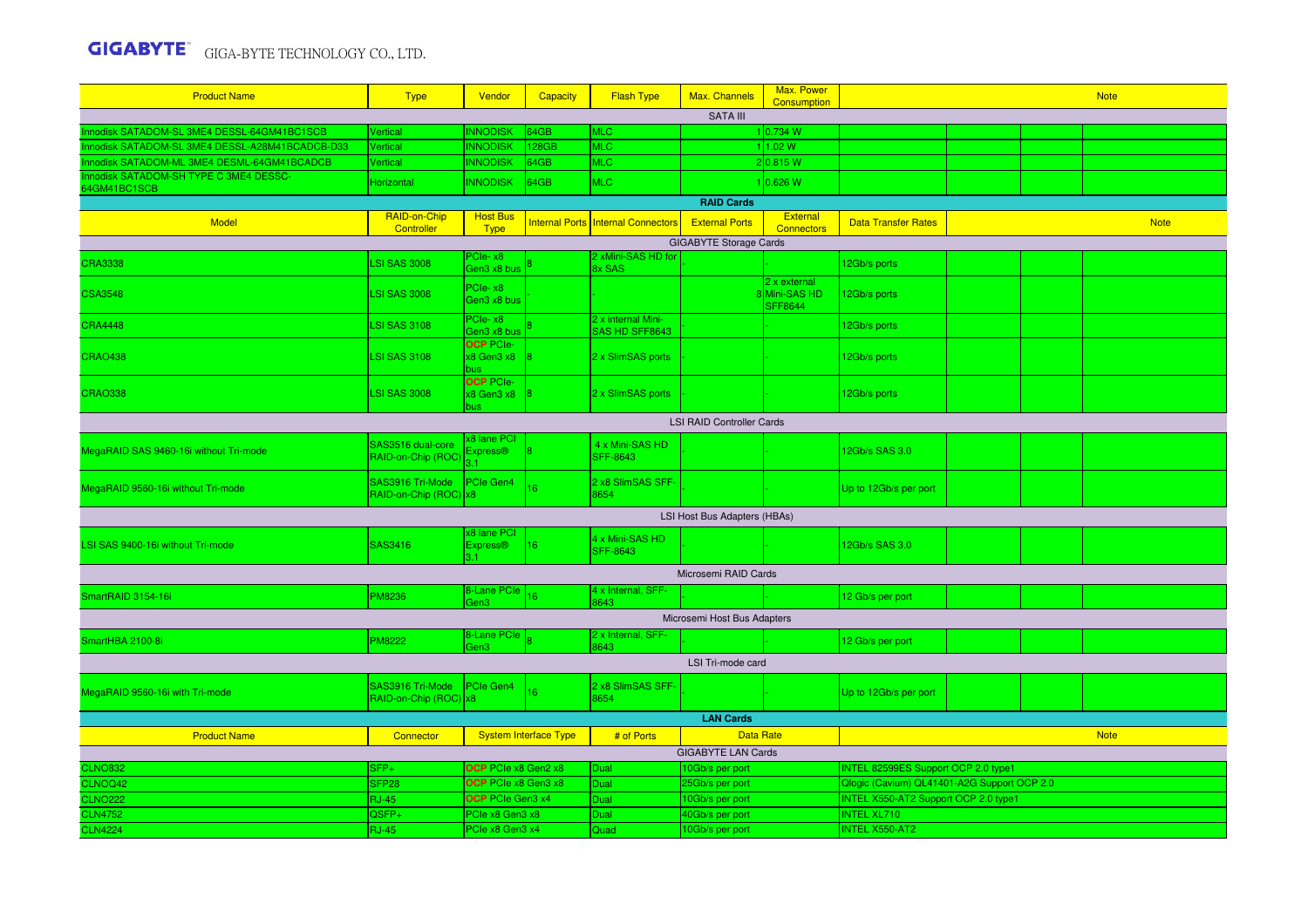| <b>Product Name</b>                                    | <b>Type</b>                               | Vendor                                       | <b>Capacity</b>              | <b>Flash Type</b>                    | Max. Channels                 | Max. Power<br><b>Consumption</b>        | <b>Note</b>                                 |  |  |             |  |
|--------------------------------------------------------|-------------------------------------------|----------------------------------------------|------------------------------|--------------------------------------|-------------------------------|-----------------------------------------|---------------------------------------------|--|--|-------------|--|
|                                                        |                                           |                                              |                              |                                      | SATA III                      |                                         |                                             |  |  |             |  |
| Innodisk SATADOM-SL 3ME4 DESSL-64GM41BC1SCB            | Vertical                                  | <b>INNODISK</b>                              | 64GB                         | <b>MLC</b>                           |                               | 1 0.734 W                               |                                             |  |  |             |  |
| Innodisk SATADOM-SL 3ME4 DESSL-A28M41BCADCB-D33        | Vertical                                  | <b>INNODISK</b>                              | 28GB                         | <b>MLC</b>                           |                               | 1.02 W                                  |                                             |  |  |             |  |
| Innodisk SATADOM-ML 3ME4 DESML-64GM41BCADCB            | Vertical                                  | <b>INNODISK</b>                              | 64GB                         | <b>MLC</b>                           |                               | 2 0.815 W                               |                                             |  |  |             |  |
| Innodisk SATADOM-SH TYPE C 3ME4 DESSC-<br>64GM41BC1SCB | Horizontal                                | <b>INNODISK</b>                              | 34GB                         | <b>MLC</b>                           |                               | 10.626 W                                |                                             |  |  |             |  |
|                                                        |                                           |                                              |                              |                                      | <b>RAID Cards</b>             |                                         |                                             |  |  |             |  |
| Model                                                  | RAID-on-Chip<br>Controller                | <b>Host Bus</b><br><b>Type</b>               |                              | Internal Ports Internal Connectors   | <b>External Ports</b>         | External<br><b>Connectors</b>           | <b>Data Transfer Rates</b>                  |  |  | <b>Note</b> |  |
|                                                        |                                           |                                              |                              |                                      | <b>GIGABYTE Storage Cards</b> |                                         |                                             |  |  |             |  |
| <b>CRA3338</b>                                         | <b>LSI SAS 3008</b>                       | PCIe-x8<br>Gen3 x8 bus                       |                              | 2 xMini-SAS HD for<br>Bx SAS         |                               |                                         | 2Gb/s ports                                 |  |  |             |  |
| <b>CSA3548</b>                                         | <b>LSI SAS 3008</b>                       | PCIe-x8<br>Gen3 x8 bus                       |                              |                                      |                               | 2 x external<br>8Mini-SAS HD<br>SFF8644 | 12Gb/s ports                                |  |  |             |  |
| <b>CRA4448</b>                                         | <b>LSI SAS 3108</b>                       | PCIe-x8<br>Gen3 x8 bus                       |                              | 2 x internal Mini-<br>SAS HD SFF8643 |                               |                                         | 12Gb/s ports                                |  |  |             |  |
| <b>CRAO438</b>                                         | <b>LSI SAS 3108</b>                       | <b>OCP PCIe-</b><br>$x8$ Gen3 $x8$ 8<br>bus  |                              | 2 x SlimSAS ports                    |                               |                                         | 12Gb/s ports                                |  |  |             |  |
| <b>CRAO338</b>                                         | <b>LSI SAS 3008</b>                       | <b>OCP PCIe-</b><br>$x8$ Gen3 $x8$ 8<br>bus. |                              | 2 x SlimSAS ports                    |                               |                                         | 12Gb/s ports                                |  |  |             |  |
| <b>LSI RAID Controller Cards</b>                       |                                           |                                              |                              |                                      |                               |                                         |                                             |  |  |             |  |
| MegaRAID SAS 9460-16i without Tri-mode                 | SAS3516 dual-core<br>RAID-on-Chip (ROC    | <b>x8 lane PCI</b><br>Express®               |                              | 4 x Mini-SAS HD<br><b>SFF-8643</b>   |                               |                                         | 12Gb/s SAS 3.0                              |  |  |             |  |
| MegaRAID 9560-16i without Tri-mode                     | SAS3916 Tri-Mode<br>RAID-on-Chip (ROC) x8 | PCIe Gen4                                    | 16                           | 2 x8 SlimSAS SFF-<br>8654            |                               |                                         | Up to 12Gb/s per port                       |  |  |             |  |
|                                                        |                                           |                                              |                              |                                      | LSI Host Bus Adapters (HBAs)  |                                         |                                             |  |  |             |  |
| LSI SAS 9400-16i without Tri-mode                      | <b>SAS3416</b>                            | x8 lane PCI<br><b>Express®</b>               | 16                           | 4 x Mini-SAS HD<br><b>SFF-8643</b>   |                               |                                         | 12Gb/s SAS 3.0                              |  |  |             |  |
|                                                        |                                           |                                              |                              |                                      | Microsemi RAID Cards          |                                         |                                             |  |  |             |  |
| SmartRAID 3154-16i                                     | <b>PM8236</b>                             | 8-Lane PCIe<br>Gen3                          |                              | 4 x Internal, SFF-<br>3643           |                               |                                         | 12 Gb/s per port                            |  |  |             |  |
|                                                        |                                           |                                              |                              |                                      | Microsemi Host Bus Adapters   |                                         |                                             |  |  |             |  |
| SmartHBA 2100-8i                                       | <b>PM8222</b>                             | 8-Lane PCIe<br>Gen3                          |                              | 2 x Internal, SFF-<br>8643           |                               |                                         | 12 Gb/s per port                            |  |  |             |  |
|                                                        |                                           |                                              |                              |                                      | LSI Tri-mode card             |                                         |                                             |  |  |             |  |
| MegaRAID 9560-16i with Tri-mode                        | SAS3916 Tri-Mode<br>RAID-on-Chip (ROC)    | PCIe Gen4<br>$\mathsf{lx8}$                  | 16                           | 2 x8 SlimSAS SFF-<br>8654            |                               |                                         | Up to 12Gb/s per port                       |  |  |             |  |
|                                                        |                                           |                                              |                              |                                      | <b>LAN Cards</b>              |                                         |                                             |  |  |             |  |
| <b>Product Name</b>                                    | Connector                                 |                                              | <b>System Interface Type</b> | # of Ports                           | <b>Data Rate</b>              |                                         |                                             |  |  | <b>Note</b> |  |
|                                                        |                                           |                                              |                              |                                      | <b>GIGABYTE LAN Cards</b>     |                                         |                                             |  |  |             |  |
| <b>CLNO832</b>                                         | SFP+                                      | OCP PCIe x8 Gen2 x8                          |                              | Dual                                 | 10Gb/s per port               |                                         | INTEL 82599ES Support OCP 2.0 type1         |  |  |             |  |
| CLNOQ42                                                | SFP <sub>28</sub>                         | OCP PCIe x8 Gen3 x8                          |                              | Dual                                 | 25Gb/s per port               |                                         | Qlogic (Cavium) QL41401-A2G Support OCP 2.0 |  |  |             |  |
| <b>CLNO222</b>                                         | <b>RJ-45</b>                              | OCP PCIe Gen3 x4                             |                              | Dual                                 | 10Gb/s per port               |                                         | INTEL X550-AT2 Support OCP 2.0 type1        |  |  |             |  |
| <b>CLN4752</b>                                         | QSFP+                                     | PCIe x8 Gen3 x8                              |                              | Dual                                 | 40Gb/s per port               |                                         | <b>INTEL XL710</b>                          |  |  |             |  |
| <b>CLN4224</b>                                         | <b>RJ-45</b>                              | PCIe x8 Gen3 x4                              |                              | Quad                                 | 10Gb/s per port               |                                         | <b>INTEL X550-AT2</b>                       |  |  |             |  |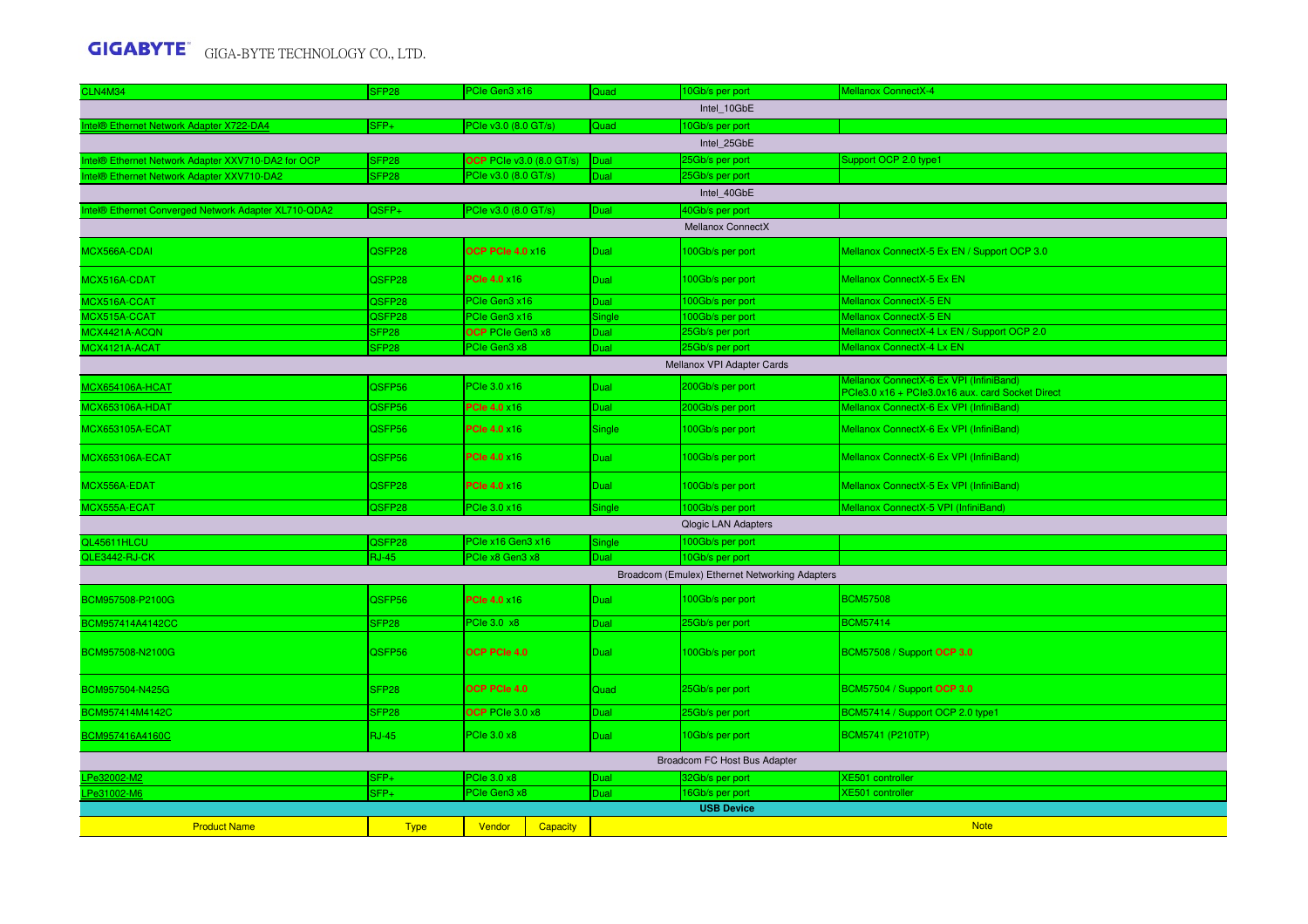| <b>CLN4M34</b>                                       | SFP <sub>28</sub> | PCIe Gen3 x16                   |                 | Quad        | 10Gb/s per port                                | Mellanox ConnectX-4                                                                         |
|------------------------------------------------------|-------------------|---------------------------------|-----------------|-------------|------------------------------------------------|---------------------------------------------------------------------------------------------|
|                                                      |                   |                                 |                 |             | Intel_10GbE                                    |                                                                                             |
| Intel® Ethernet Network Adapter X722-DA4             | SFP+              | PCIe v3.0 (8.0 GT/s)            |                 | Quad        | 10Gb/s per port                                |                                                                                             |
|                                                      |                   |                                 |                 |             | Intel 25GbE                                    |                                                                                             |
| Intel® Ethernet Network Adapter XXV710-DA2 for OCP   | SFP <sub>28</sub> | <b>OCP PCIe v3.0 (8.0 GT/s)</b> |                 | Dual        | 25Gb/s per port                                | Support OCP 2.0 type1                                                                       |
| Intel® Ethernet Network Adapter XXV710-DA2           | SFP <sub>28</sub> | PCIe v3.0 (8.0 GT/s)            |                 | Dual        | 25Gb/s per port                                |                                                                                             |
|                                                      |                   |                                 |                 |             | Intel 40GbE                                    |                                                                                             |
| Intel® Ethernet Converged Network Adapter XL710-QDA2 | QSFP+             | PCle v3.0 (8.0 GT/s)            |                 | Dual        | 40Gb/s per port                                |                                                                                             |
|                                                      |                   |                                 |                 |             | Mellanox ConnectX                              |                                                                                             |
| MCX566A-CDAI                                         | QSFP28            | <b>OCP PCle 4.0 x16</b>         |                 | Dual        | 100Gb/s per port                               | Mellanox ConnectX-5 Ex EN / Support OCP 3.0                                                 |
| MCX516A-CDAT                                         | QSFP28            | <b>PCIe 4.0 ×16</b>             |                 | Dual        | 100Gb/s per port                               | Mellanox ConnectX-5 Ex EN                                                                   |
| MCX516A-CCAT                                         | QSFP28            | PCIe Gen3 x16                   |                 | Dual        | 100Gb/s per port                               | Mellanox ConnectX-5 EN                                                                      |
| MCX515A-CCAT                                         | QSFP28            | PCIe Gen3 x16                   |                 | Single      | 100Gb/s per port                               | Mellanox ConnectX-5 EN                                                                      |
| MCX4421A-ACQN                                        | SFP <sub>28</sub> | <b>OCP</b> PCIe Gen3 x8         |                 | Dual        | 25Gb/s per port                                | Mellanox ConnectX-4 Lx EN / Support OCP 2.0                                                 |
| MCX4121A-ACAT                                        | SFP <sub>28</sub> | PCIe Gen3 x8                    |                 | Dual        | 25Gb/s per port                                | Mellanox ConnectX-4 Lx EN                                                                   |
|                                                      |                   |                                 |                 |             | Mellanox VPI Adapter Cards                     |                                                                                             |
| <b>MCX654106A-HCAT</b>                               | QSFP56            | PCIe 3.0 x16                    |                 | Dual        | 200Gb/s per port                               | Mellanox ConnectX-6 Ex VPI (InfiniBand)<br>PCle3.0 x16 + PCle3.0x16 aux. card Socket Direct |
| <b>MCX653106A-HDAT</b>                               | QSFP56            | <b>PCle 4.0 x16</b>             |                 | Dual        | 200Gb/s per port                               | Mellanox ConnectX-6 Ex VPI (InfiniBand)                                                     |
| <b>MCX653105A-ECAT</b>                               | QSFP56            | <b>PCIe 4.0 ×16</b>             |                 | Single      | 100Gb/s per port                               | Mellanox ConnectX-6 Ex VPI (InfiniBand)                                                     |
| <b>MCX653106A-ECAT</b>                               | QSFP56            | <b>PCIe 4.0 ×16</b>             |                 | Dual        | 100Gb/s per port                               | Mellanox ConnectX-6 Ex VPI (InfiniBand)                                                     |
| MCX556A-EDAT                                         | QSFP28            | <b>PCIe 4.0 ×16</b>             |                 | Dual        | 100Gb/s per port                               | Mellanox ConnectX-5 Ex VPI (InfiniBand)                                                     |
| MCX555A-ECAT                                         | QSFP28            | PCIe 3.0 x16                    |                 | Single      | 100Gb/s per port                               | Mellanox ConnectX-5 VPI (InfiniBand)                                                        |
|                                                      |                   |                                 |                 |             | Qlogic LAN Adapters                            |                                                                                             |
| QL45611HLCU                                          | QSFP28            | PCIe x16 Gen3 x16               |                 | Single      | 100Gb/s per port                               |                                                                                             |
| QLE3442-RJ-CK                                        | <b>RJ-45</b>      | PCIe x8 Gen3 x8                 |                 | Dual        | 10Gb/s per port                                |                                                                                             |
|                                                      |                   |                                 |                 |             | Broadcom (Emulex) Ethernet Networking Adapters |                                                                                             |
| BCM957508-P2100G                                     | QSFP56            | <b>PCIe 4.0 ×16</b>             |                 | Dual        | 100Gb/s per port                               | <b>BCM57508</b>                                                                             |
| BCM957414A4142CC                                     | SFP <sub>28</sub> | PCIe 3.0 x8                     |                 | Dual        | 25Gb/s per port                                | <b>BCM57414</b>                                                                             |
| BCM957508-N2100G                                     | QSFP56            | <b>OCP PCIe 4.0</b>             |                 | Dual        | 100Gb/s per port                               | BCM57508 / Support OCP 3.0                                                                  |
| BCM957504-N425G                                      | SFP <sub>28</sub> | OCP PCIe 4.0                    |                 | Quad        | 25Gb/s per port                                | BCM57504 / Support OCP 3.0                                                                  |
| BCM957414M4142C                                      | SFP <sub>28</sub> | OCP PCIe 3.0 x8                 |                 | <b>Dual</b> | 25Gb/s per port                                | BCM57414 / Support OCP 2.0 type1                                                            |
| BCM957416A4160C                                      | <b>RJ-45</b>      | PCIe 3.0 x8                     |                 | Dual        | 10Gb/s per port                                | BCM5741 (P210TP)                                                                            |
|                                                      |                   |                                 |                 |             | Broadcom FC Host Bus Adapter                   |                                                                                             |
| LPe32002-M2                                          | SFP+              | PCIe 3.0 x8                     |                 | Dual        | 32Gb/s per port                                | <b>XE501</b> controller                                                                     |
| LPe31002-M6                                          | $SFP+$            | PCIe Gen3 x8                    |                 | Dual        | 16Gb/s per port                                | <b>XE501</b> controller                                                                     |
|                                                      |                   |                                 |                 |             | <b>USB Device</b>                              |                                                                                             |
| <b>Product Name</b>                                  | <b>Type</b>       | Vendor                          | <b>Capacity</b> |             |                                                | <b>Note</b>                                                                                 |